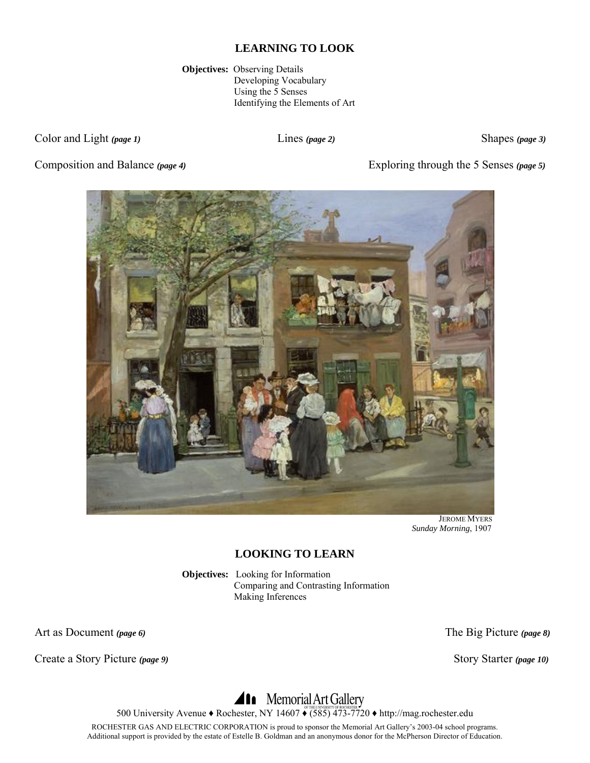**Objectives:** Observing Details Developing Vocabulary Using the 5 Senses Identifying the Elements of Art

Color and Light *(page 1)* Lines *(page 2)* Shapes *(page 3)* Shapes *(page 3)* 

Composition and Balance *(page 4)* Exploring through the 5 Senses *(page 5)*



 JEROME MYERS  *Sunday Morning*, 1907

# **LOOKING TO LEARN**

**Objectives:** Looking for Information Comparing and Contrasting Information Making Inferences

Art as Document *(page 6)* The Big Picture *(page 8)*

Create a Story Picture (page 9) Story Starter (page 10)

# 500 University Avenue • Rochester, NY 14607 • (585) 473-7720 • http://mag.rochester.edu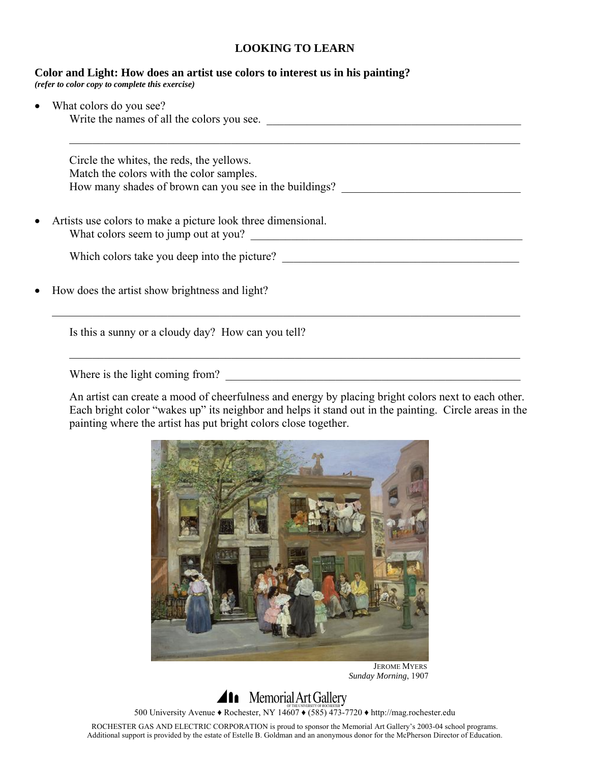#### **Color and Light: How does an artist use colors to interest us in his painting?**  *(refer to color copy to complete this exercise)*

| Circle the whites, the reds, the yellows.                    |
|--------------------------------------------------------------|
| Match the colors with the color samples.                     |
| How many shades of brown can you see in the buildings?       |
| Artists use colors to make a picture look three dimensional. |
| What colors seem to jump out at you?                         |
| Which colors take you deep into the picture?                 |
| How does the artist show brightness and light?               |

Where is the light coming from?

An artist can create a mood of cheerfulness and energy by placing bright colors next to each other. Each bright color "wakes up" its neighbor and helps it stand out in the painting. Circle areas in the painting where the artist has put bright colors close together.



 JEROME MYERS  *Sunday Morning*, 1907

**Ala** Memorial Art Gallery 500 University Avenue ♦ Rochester, NY 14607 ♦ (585) 473-7720 ♦ http://mag.rochester.edu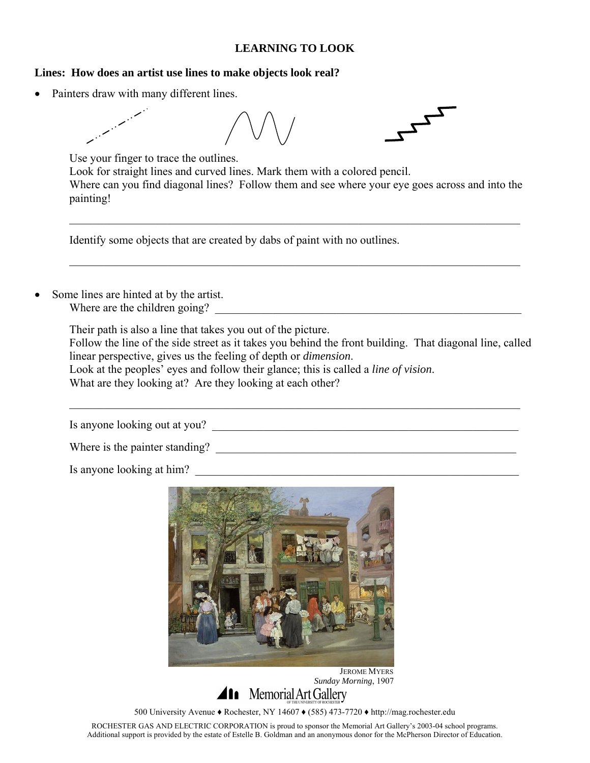#### **Lines: How does an artist use lines to make objects look real?**

Painters draw with many different lines.



Use your finger to trace the outlines. Look for straight lines and curved lines. Mark them with a colored pencil. Where can you find diagonal lines? Follow them and see where your eye goes across and into the painting!

 $\mathcal{L}_\mathcal{L} = \mathcal{L}_\mathcal{L} = \mathcal{L}_\mathcal{L} = \mathcal{L}_\mathcal{L} = \mathcal{L}_\mathcal{L} = \mathcal{L}_\mathcal{L} = \mathcal{L}_\mathcal{L} = \mathcal{L}_\mathcal{L} = \mathcal{L}_\mathcal{L} = \mathcal{L}_\mathcal{L} = \mathcal{L}_\mathcal{L} = \mathcal{L}_\mathcal{L} = \mathcal{L}_\mathcal{L} = \mathcal{L}_\mathcal{L} = \mathcal{L}_\mathcal{L} = \mathcal{L}_\mathcal{L} = \mathcal{L}_\mathcal{L}$ 

 $\mathcal{L}_\mathcal{L} = \{ \mathcal{L}_\mathcal{L} = \{ \mathcal{L}_\mathcal{L} = \{ \mathcal{L}_\mathcal{L} = \{ \mathcal{L}_\mathcal{L} = \{ \mathcal{L}_\mathcal{L} = \{ \mathcal{L}_\mathcal{L} = \{ \mathcal{L}_\mathcal{L} = \{ \mathcal{L}_\mathcal{L} = \{ \mathcal{L}_\mathcal{L} = \{ \mathcal{L}_\mathcal{L} = \{ \mathcal{L}_\mathcal{L} = \{ \mathcal{L}_\mathcal{L} = \{ \mathcal{L}_\mathcal{L} = \{ \mathcal{L}_\mathcal{$ 

Identify some objects that are created by dabs of paint with no outlines.

Some lines are hinted at by the artist. Where are the children going?

Their path is also a line that takes you out of the picture.

Follow the line of the side street as it takes you behind the front building. That diagonal line, called linear perspective, gives us the feeling of depth or *dimension*.

 $\mathcal{L}_\mathcal{L} = \mathcal{L}_\mathcal{L} = \mathcal{L}_\mathcal{L} = \mathcal{L}_\mathcal{L} = \mathcal{L}_\mathcal{L} = \mathcal{L}_\mathcal{L} = \mathcal{L}_\mathcal{L} = \mathcal{L}_\mathcal{L} = \mathcal{L}_\mathcal{L} = \mathcal{L}_\mathcal{L} = \mathcal{L}_\mathcal{L} = \mathcal{L}_\mathcal{L} = \mathcal{L}_\mathcal{L} = \mathcal{L}_\mathcal{L} = \mathcal{L}_\mathcal{L} = \mathcal{L}_\mathcal{L} = \mathcal{L}_\mathcal{L}$ 

 Look at the peoples' eyes and follow their glance; this is called a *line of vision*. What are they looking at? Are they looking at each other?

Is anyone looking out at you? \_\_\_\_\_\_\_\_\_\_\_\_\_\_\_\_\_\_\_\_\_\_\_\_\_\_\_\_\_\_\_\_\_\_\_\_\_\_\_\_\_\_\_\_\_\_\_\_\_\_\_\_\_

Where is the painter standing? \_\_\_\_\_\_\_\_\_\_\_\_\_\_\_\_\_\_\_\_\_\_\_\_\_\_\_\_\_\_\_\_\_\_\_\_\_\_\_\_\_\_\_\_\_\_\_\_\_\_\_\_

Is anyone looking at him?



JEROME MYERS

 *Sunday Morning*, 1907

500 University Avenue ♦ Rochester, NY 14607 ♦ (585) 473-7720 ♦ http://mag.rochester.edu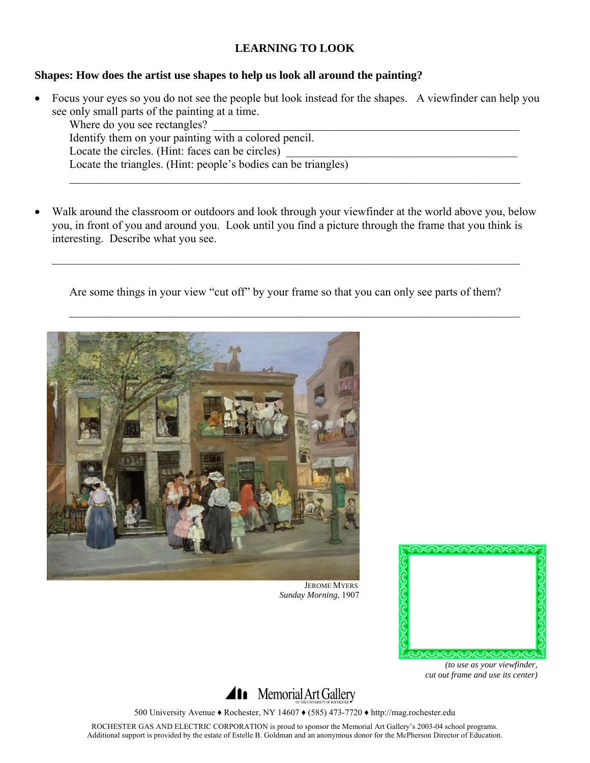#### **Shapes: How does the artist use shapes to help us look all around the painting?**

• Focus your eyes so you do not see the people but look instead for the shapes. A viewfinder can help you see only small parts of the painting at a time.

Where do you see rectangles? Identify them on your painting with a colored pencil. Locate the circles. (Hint: faces can be circles) Locate the triangles. (Hint: people's bodies can be triangles)  $\mathcal{L}_\mathcal{L} = \{ \mathcal{L}_\mathcal{L} = \{ \mathcal{L}_\mathcal{L} = \{ \mathcal{L}_\mathcal{L} = \{ \mathcal{L}_\mathcal{L} = \{ \mathcal{L}_\mathcal{L} = \{ \mathcal{L}_\mathcal{L} = \{ \mathcal{L}_\mathcal{L} = \{ \mathcal{L}_\mathcal{L} = \{ \mathcal{L}_\mathcal{L} = \{ \mathcal{L}_\mathcal{L} = \{ \mathcal{L}_\mathcal{L} = \{ \mathcal{L}_\mathcal{L} = \{ \mathcal{L}_\mathcal{L} = \{ \mathcal{L}_\mathcal{$ 

Walk around the classroom or outdoors and look through your viewfinder at the world above you, below you, in front of you and around you. Look until you find a picture through the frame that you think is interesting. Describe what you see.

 $\mathcal{L}_\mathcal{L} = \{ \mathcal{L}_\mathcal{L} = \{ \mathcal{L}_\mathcal{L} = \{ \mathcal{L}_\mathcal{L} = \{ \mathcal{L}_\mathcal{L} = \{ \mathcal{L}_\mathcal{L} = \{ \mathcal{L}_\mathcal{L} = \{ \mathcal{L}_\mathcal{L} = \{ \mathcal{L}_\mathcal{L} = \{ \mathcal{L}_\mathcal{L} = \{ \mathcal{L}_\mathcal{L} = \{ \mathcal{L}_\mathcal{L} = \{ \mathcal{L}_\mathcal{L} = \{ \mathcal{L}_\mathcal{L} = \{ \mathcal{L}_\mathcal{$ 

Are some things in your view "cut off" by your frame so that you can only see parts of them?

 $\mathcal{L}_\mathcal{L} = \mathcal{L}_\mathcal{L} = \mathcal{L}_\mathcal{L} = \mathcal{L}_\mathcal{L} = \mathcal{L}_\mathcal{L} = \mathcal{L}_\mathcal{L} = \mathcal{L}_\mathcal{L} = \mathcal{L}_\mathcal{L} = \mathcal{L}_\mathcal{L} = \mathcal{L}_\mathcal{L} = \mathcal{L}_\mathcal{L} = \mathcal{L}_\mathcal{L} = \mathcal{L}_\mathcal{L} = \mathcal{L}_\mathcal{L} = \mathcal{L}_\mathcal{L} = \mathcal{L}_\mathcal{L} = \mathcal{L}_\mathcal{L}$ 



 JEROME MYERS  *Sunday Morning*, 1907



*(to use as your viewfinder, cut out frame and use its center)* 



500 University Avenue ♦ Rochester, NY 14607 ♦ (585) 473-7720 ♦ http://mag.rochester.edu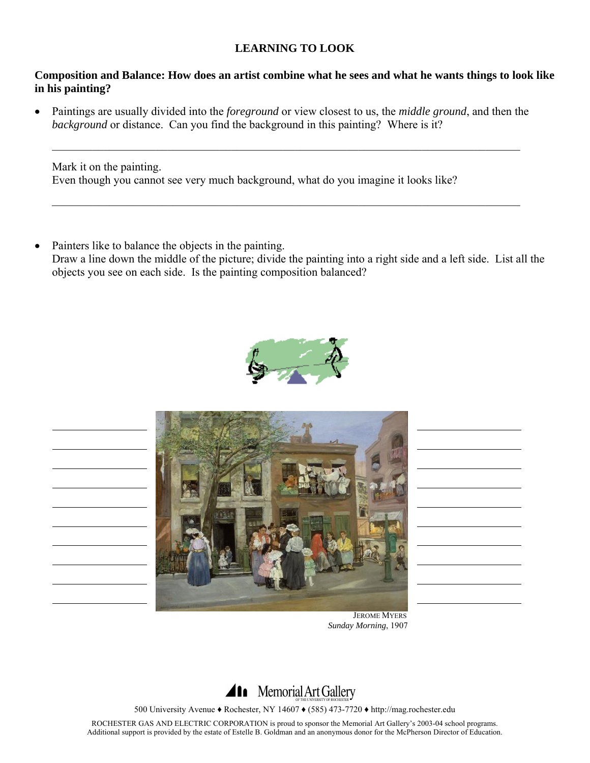#### **Composition and Balance: How does an artist combine what he sees and what he wants things to look like in his painting?**

• Paintings are usually divided into the *foreground* or view closest to us, the *middle ground*, and then the *background* or distance. Can you find the background in this painting? Where is it?

 $\mathcal{L}_\mathcal{L} = \{ \mathcal{L}_\mathcal{L} = \{ \mathcal{L}_\mathcal{L} = \{ \mathcal{L}_\mathcal{L} = \{ \mathcal{L}_\mathcal{L} = \{ \mathcal{L}_\mathcal{L} = \{ \mathcal{L}_\mathcal{L} = \{ \mathcal{L}_\mathcal{L} = \{ \mathcal{L}_\mathcal{L} = \{ \mathcal{L}_\mathcal{L} = \{ \mathcal{L}_\mathcal{L} = \{ \mathcal{L}_\mathcal{L} = \{ \mathcal{L}_\mathcal{L} = \{ \mathcal{L}_\mathcal{L} = \{ \mathcal{L}_\mathcal{$ 

 $\mathcal{L}_\mathcal{L} = \{ \mathcal{L}_\mathcal{L} = \{ \mathcal{L}_\mathcal{L} = \{ \mathcal{L}_\mathcal{L} = \{ \mathcal{L}_\mathcal{L} = \{ \mathcal{L}_\mathcal{L} = \{ \mathcal{L}_\mathcal{L} = \{ \mathcal{L}_\mathcal{L} = \{ \mathcal{L}_\mathcal{L} = \{ \mathcal{L}_\mathcal{L} = \{ \mathcal{L}_\mathcal{L} = \{ \mathcal{L}_\mathcal{L} = \{ \mathcal{L}_\mathcal{L} = \{ \mathcal{L}_\mathcal{L} = \{ \mathcal{L}_\mathcal{$ 

Mark it on the painting. Even though you cannot see very much background, what do you imagine it looks like?

• Painters like to balance the objects in the painting. Draw a line down the middle of the picture; divide the painting into a right side and a left side. List all the objects you see on each side. Is the painting composition balanced?





 JEROME MYERS  *Sunday Morning*, 1907



500 University Avenue ♦ Rochester, NY 14607 ♦ (585) 473-7720 ♦ http://mag.rochester.edu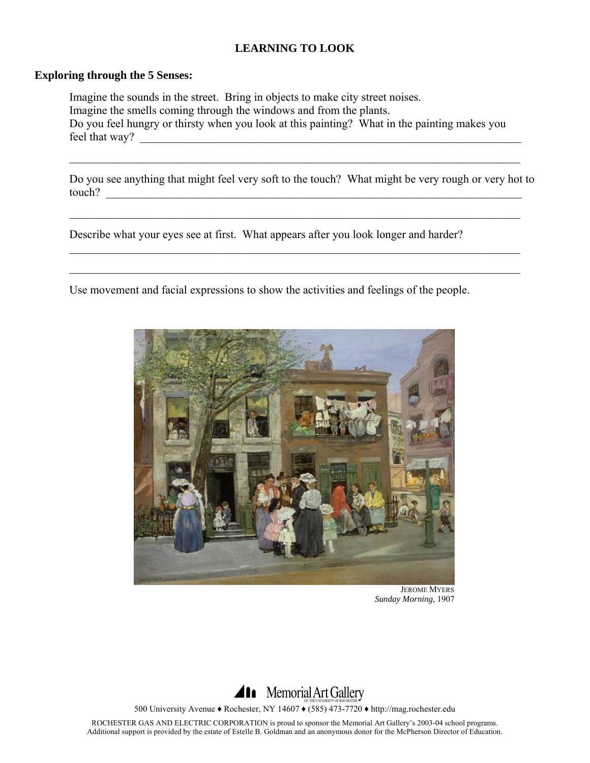#### **Exploring through the 5 Senses:**

 Imagine the sounds in the street. Bring in objects to make city street noises. Imagine the smells coming through the windows and from the plants. Do you feel hungry or thirsty when you look at this painting? What in the painting makes you feel that way?

Do you see anything that might feel very soft to the touch? What might be very rough or very hot to touch?

 $\mathcal{L}_\mathcal{L} = \mathcal{L}_\mathcal{L} = \mathcal{L}_\mathcal{L} = \mathcal{L}_\mathcal{L} = \mathcal{L}_\mathcal{L} = \mathcal{L}_\mathcal{L} = \mathcal{L}_\mathcal{L} = \mathcal{L}_\mathcal{L} = \mathcal{L}_\mathcal{L} = \mathcal{L}_\mathcal{L} = \mathcal{L}_\mathcal{L} = \mathcal{L}_\mathcal{L} = \mathcal{L}_\mathcal{L} = \mathcal{L}_\mathcal{L} = \mathcal{L}_\mathcal{L} = \mathcal{L}_\mathcal{L} = \mathcal{L}_\mathcal{L}$ 

 $\mathcal{L}_\mathcal{L} = \mathcal{L}_\mathcal{L} = \mathcal{L}_\mathcal{L} = \mathcal{L}_\mathcal{L} = \mathcal{L}_\mathcal{L} = \mathcal{L}_\mathcal{L} = \mathcal{L}_\mathcal{L} = \mathcal{L}_\mathcal{L} = \mathcal{L}_\mathcal{L} = \mathcal{L}_\mathcal{L} = \mathcal{L}_\mathcal{L} = \mathcal{L}_\mathcal{L} = \mathcal{L}_\mathcal{L} = \mathcal{L}_\mathcal{L} = \mathcal{L}_\mathcal{L} = \mathcal{L}_\mathcal{L} = \mathcal{L}_\mathcal{L}$ 

 $\mathcal{L}_\mathcal{L} = \{ \mathcal{L}_\mathcal{L} = \{ \mathcal{L}_\mathcal{L} = \{ \mathcal{L}_\mathcal{L} = \{ \mathcal{L}_\mathcal{L} = \{ \mathcal{L}_\mathcal{L} = \{ \mathcal{L}_\mathcal{L} = \{ \mathcal{L}_\mathcal{L} = \{ \mathcal{L}_\mathcal{L} = \{ \mathcal{L}_\mathcal{L} = \{ \mathcal{L}_\mathcal{L} = \{ \mathcal{L}_\mathcal{L} = \{ \mathcal{L}_\mathcal{L} = \{ \mathcal{L}_\mathcal{L} = \{ \mathcal{L}_\mathcal{$ 

Describe what your eyes see at first. What appears after you look longer and harder?

Use movement and facial expressions to show the activities and feelings of the people.

 $\mathcal{L}_\mathcal{L} = \mathcal{L}_\mathcal{L} = \mathcal{L}_\mathcal{L} = \mathcal{L}_\mathcal{L} = \mathcal{L}_\mathcal{L} = \mathcal{L}_\mathcal{L} = \mathcal{L}_\mathcal{L} = \mathcal{L}_\mathcal{L} = \mathcal{L}_\mathcal{L} = \mathcal{L}_\mathcal{L} = \mathcal{L}_\mathcal{L} = \mathcal{L}_\mathcal{L} = \mathcal{L}_\mathcal{L} = \mathcal{L}_\mathcal{L} = \mathcal{L}_\mathcal{L} = \mathcal{L}_\mathcal{L} = \mathcal{L}_\mathcal{L}$ 



 JEROME MYERS *Sunday Morning*, 1907



500 University Avenue ♦ Rochester, NY 14607 ♦ (585) 473-7720 ♦ http://mag.rochester.edu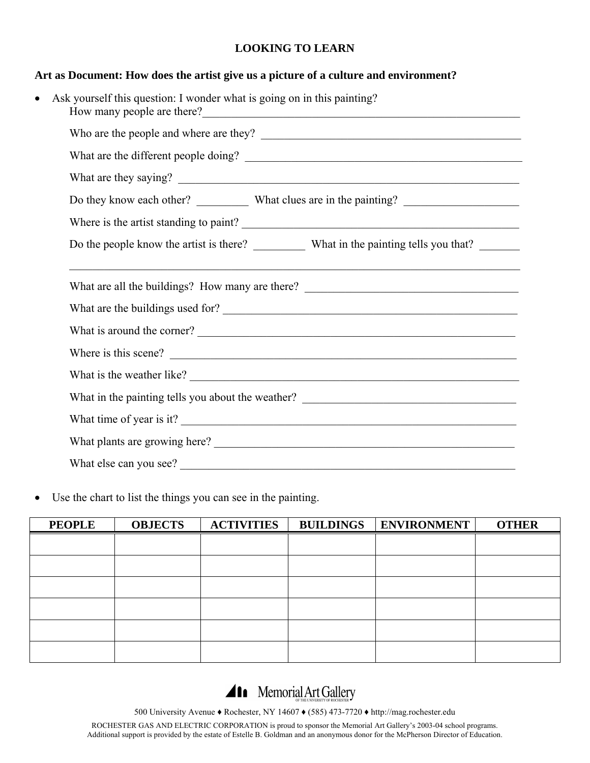#### **Art as Document: How does the artist give us a picture of a culture and environment?**

| $\bullet$ | Ask yourself this question: I wonder what is going on in this painting?<br>How many people are there?<br><u> and</u> the contract of the contract of the contract of the contract of the contract of the contract of the contract of the contract of the contract of the contract of the contract of the contrac |  |  |  |  |  |
|-----------|------------------------------------------------------------------------------------------------------------------------------------------------------------------------------------------------------------------------------------------------------------------------------------------------------------------|--|--|--|--|--|
|           |                                                                                                                                                                                                                                                                                                                  |  |  |  |  |  |
|           |                                                                                                                                                                                                                                                                                                                  |  |  |  |  |  |
|           |                                                                                                                                                                                                                                                                                                                  |  |  |  |  |  |
|           |                                                                                                                                                                                                                                                                                                                  |  |  |  |  |  |
|           | Where is the artist standing to paint?                                                                                                                                                                                                                                                                           |  |  |  |  |  |
|           | Do the people know the artist is there? What in the painting tells you that?                                                                                                                                                                                                                                     |  |  |  |  |  |
|           | <u> 1989 - Johann Harry Harry Harry Harry Harry Harry Harry Harry Harry Harry Harry Harry Harry Harry Harry Harry</u><br>What are all the buildings? How many are there? _________________________________<br>What are the buildings used for?                                                                   |  |  |  |  |  |
|           | What is around the corner?<br><u> </u>                                                                                                                                                                                                                                                                           |  |  |  |  |  |
|           | Where is this scene?                                                                                                                                                                                                                                                                                             |  |  |  |  |  |
|           | What is the weather like?                                                                                                                                                                                                                                                                                        |  |  |  |  |  |
|           | What in the painting tells you about the weather? _______________________________                                                                                                                                                                                                                                |  |  |  |  |  |
|           | What time of year is it?                                                                                                                                                                                                                                                                                         |  |  |  |  |  |
|           |                                                                                                                                                                                                                                                                                                                  |  |  |  |  |  |
|           | What else can you see?                                                                                                                                                                                                                                                                                           |  |  |  |  |  |

• Use the chart to list the things you can see in the painting.

| <b>PEOPLE</b> | <b>OBJECTS</b> | <b>ACTIVITIES</b> | BUILDINGS   ENVIRONMENT | <b>OTHER</b> |
|---------------|----------------|-------------------|-------------------------|--------------|
|               |                |                   |                         |              |
|               |                |                   |                         |              |
|               |                |                   |                         |              |
|               |                |                   |                         |              |
|               |                |                   |                         |              |
|               |                |                   |                         |              |

Al Memorial Art Gallery

500 University Avenue ♦ Rochester, NY 14607 ♦ (585) 473-7720 ♦ http://mag.rochester.edu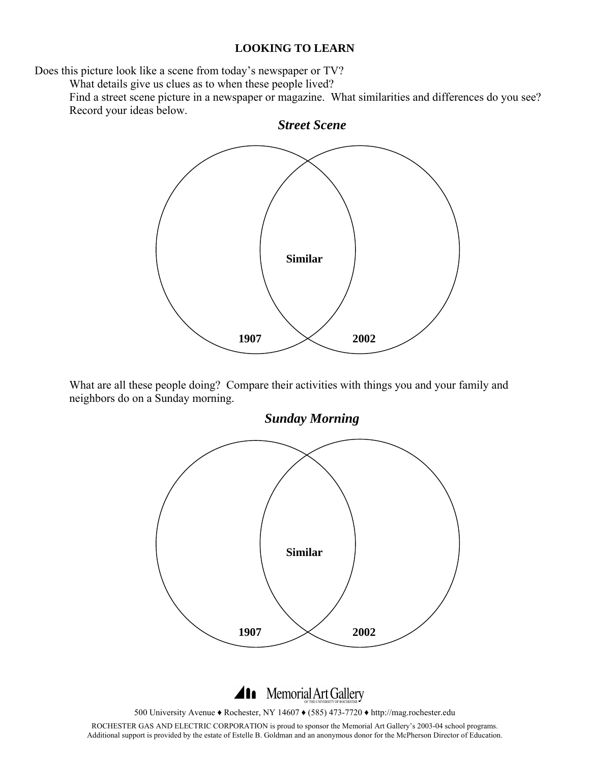Does this picture look like a scene from today's newspaper or TV?

What details give us clues as to when these people lived?

Find a street scene picture in a newspaper or magazine. What similarities and differences do you see? Record your ideas below.



What are all these people doing? Compare their activities with things you and your family and neighbors do on a Sunday morning.

*Sunday Morning*  **Similar 1907**  $\times$  2002

11 Memorial Art Gallery

500 University Avenue ♦ Rochester, NY 14607 ♦ (585) 473-7720 ♦ http://mag.rochester.edu

ROCHESTER GAS AND ELECTRIC CORPORATION is proud to sponsor the Memorial Art Gallery's 2003-04 school programs. Additional support is provided by the estate of Estelle B. Goldman and an anonymous donor for the McPherson Director of Education.

*Street Scene*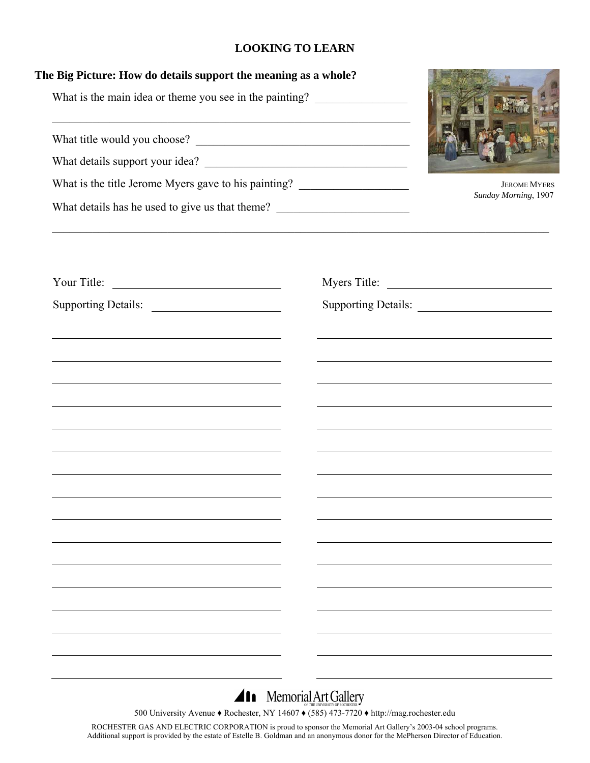| The Big Picture: How do details support the meaning as a whole?<br>What is the main idea or theme you see in the painting? _________________________ |                                                                                                                      |                      |  |
|------------------------------------------------------------------------------------------------------------------------------------------------------|----------------------------------------------------------------------------------------------------------------------|----------------------|--|
|                                                                                                                                                      | <u> 1990 - Jan James James James James James James James James James James James James James James James James J</u> |                      |  |
|                                                                                                                                                      |                                                                                                                      |                      |  |
| What is the title Jerome Myers gave to his painting? ___________________________                                                                     | <b>JEROME MYERS</b>                                                                                                  |                      |  |
| What details has he used to give us that theme? _________________________________                                                                    |                                                                                                                      | Sunday Morning, 1907 |  |
|                                                                                                                                                      |                                                                                                                      |                      |  |
| Supporting Details:                                                                                                                                  |                                                                                                                      | Supporting Details:  |  |
|                                                                                                                                                      |                                                                                                                      |                      |  |
|                                                                                                                                                      |                                                                                                                      |                      |  |
|                                                                                                                                                      |                                                                                                                      |                      |  |
|                                                                                                                                                      |                                                                                                                      |                      |  |
| <u> 1989 - Johann Stein, marwolaethau a bhann an t-Amhain an t-Amhain an t-Amhain an t-Amhain an t-Amhain an t-A</u>                                 |                                                                                                                      |                      |  |
|                                                                                                                                                      |                                                                                                                      |                      |  |
|                                                                                                                                                      |                                                                                                                      |                      |  |
|                                                                                                                                                      |                                                                                                                      |                      |  |
|                                                                                                                                                      |                                                                                                                      |                      |  |
|                                                                                                                                                      |                                                                                                                      |                      |  |
|                                                                                                                                                      |                                                                                                                      |                      |  |
|                                                                                                                                                      |                                                                                                                      |                      |  |
|                                                                                                                                                      |                                                                                                                      |                      |  |

# Al Memorial Art Gallery

500 University Avenue ♦ Rochester, NY 14607 ♦ (585) 473-7720 ♦ http://mag.rochester.edu